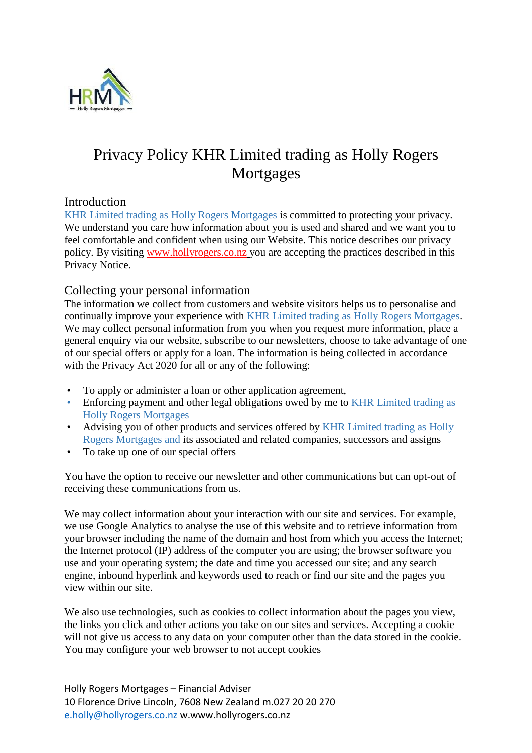

# Privacy Policy KHR Limited trading as Holly Rogers Mortgages

## **Introduction**

KHR Limited trading as Holly Rogers Mortgages is committed to protecting your privacy. We understand you care how information about you is used and shared and we want you to feel comfortable and confident when using our Website. This notice describes our privacy policy. By visiting www.hollyrogers.co.nz you are accepting the practices described in this Privacy Notice.

## Collecting your personal information

The information we collect from customers and website visitors helps us to personalise and continually improve your experience with KHR Limited trading as Holly Rogers Mortgages. We may collect personal information from you when you request more information, place a general enquiry via our website, subscribe to our newsletters, choose to take advantage of one of our special offers or apply for a loan. The information is being collected in accordance with the Privacy Act 2020 for all or any of the following:

- To apply or administer a loan or other application agreement,
- Enforcing payment and other legal obligations owed by me to KHR Limited trading as Holly Rogers Mortgages
- Advising you of other products and services offered by KHR Limited trading as Holly Rogers Mortgages and its associated and related companies, successors and assigns
- To take up one of our special offers

You have the option to receive our newsletter and other communications but can opt-out of receiving these communications from us.

We may collect information about your interaction with our site and services. For example, we use Google Analytics to analyse the use of this website and to retrieve information from your browser including the name of the domain and host from which you access the Internet; the Internet protocol (IP) address of the computer you are using; the browser software you use and your operating system; the date and time you accessed our site; and any search engine, inbound hyperlink and keywords used to reach or find our site and the pages you view within our site.

We also use technologies, such as cookies to collect information about the pages you view, the links you click and other actions you take on our sites and services. Accepting a cookie will not give us access to any data on your computer other than the data stored in the cookie. You may configure your web browser to not accept cookies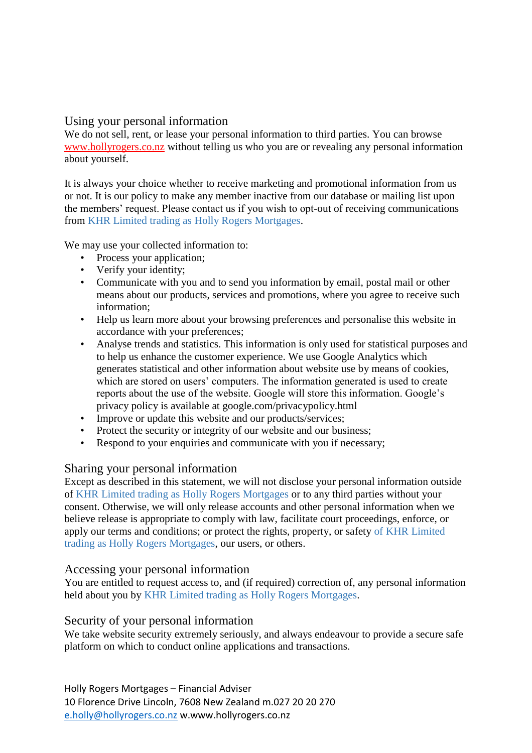## Using your personal information

We do not sell, rent, or lease your personal information to third parties. You can browse [www.hollyrogers.co.nz](http://www.hollyrogers.co.nz/) without telling us who you are or revealing any personal information about yourself.

It is always your choice whether to receive marketing and promotional information from us or not. It is our policy to make any member inactive from our database or mailing list upon the members' request. Please contact us if you wish to opt-out of receiving communications from KHR Limited trading as Holly Rogers Mortgages.

We may use your collected information to:

- Process your application;
- Verify your identity;
- Communicate with you and to send you information by email, postal mail or other means about our products, services and promotions, where you agree to receive such information;
- Help us learn more about your browsing preferences and personalise this website in accordance with your preferences;
- Analyse trends and statistics. This information is only used for statistical purposes and to help us enhance the customer experience. We use Google Analytics which generates statistical and other information about website use by means of cookies, which are stored on users' computers. The information generated is used to create reports about the use of the website. Google will store this information. Google's privacy policy is available at google.com/privacypolicy.html
- Improve or update this website and our products/services;
- Protect the security or integrity of our website and our business;
- Respond to your enquiries and communicate with you if necessary;

## Sharing your personal information

Except as described in this statement, we will not disclose your personal information outside of KHR Limited trading as Holly Rogers Mortgages or to any third parties without your consent. Otherwise, we will only release accounts and other personal information when we believe release is appropriate to comply with law, facilitate court proceedings, enforce, or apply our terms and conditions; or protect the rights, property, or safety of KHR Limited trading as Holly Rogers Mortgages, our users, or others.

## Accessing your personal information

You are entitled to request access to, and (if required) correction of, any personal information held about you by KHR Limited trading as Holly Rogers Mortgages.

## Security of your personal information

We take website security extremely seriously, and always endeavour to provide a secure safe platform on which to conduct online applications and transactions.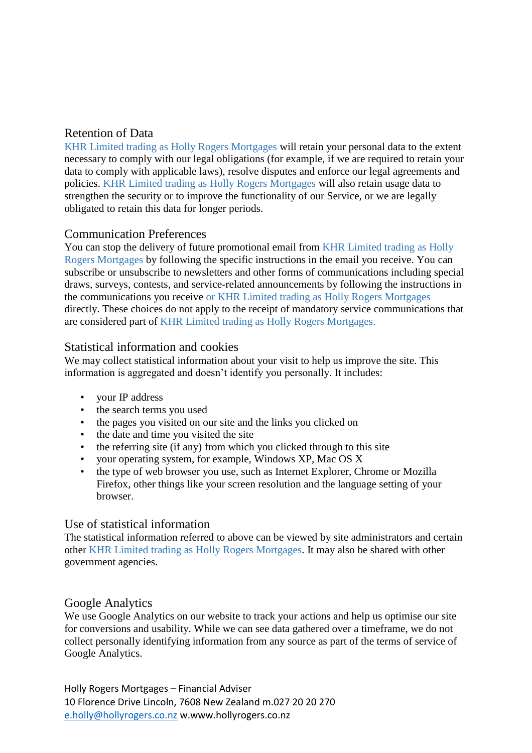# Retention of Data

KHR Limited trading as Holly Rogers Mortgages will retain your personal data to the extent necessary to comply with our legal obligations (for example, if we are required to retain your data to comply with applicable laws), resolve disputes and enforce our legal agreements and policies. KHR Limited trading as Holly Rogers Mortgages will also retain usage data to strengthen the security or to improve the functionality of our Service, or we are legally obligated to retain this data for longer periods.

# Communication Preferences

You can stop the delivery of future promotional email from KHR Limited trading as Holly Rogers Mortgages by following the specific instructions in the email you receive. You can subscribe or unsubscribe to newsletters and other forms of communications including special draws, surveys, contests, and service-related announcements by following the instructions in the communications you receive or KHR Limited trading as Holly Rogers Mortgages directly. These choices do not apply to the receipt of mandatory service communications that are considered part of KHR Limited trading as Holly Rogers Mortgages.

# Statistical information and cookies

We may collect statistical information about your visit to help us improve the site. This information is aggregated and doesn't identify you personally. It includes:

- your IP address
- the search terms you used
- the pages you visited on our site and the links you clicked on
- the date and time you visited the site
- the referring site (if any) from which you clicked through to this site
- your operating system, for example, Windows XP, Mac OS X
- the type of web browser you use, such as Internet Explorer, Chrome or Mozilla Firefox, other things like your screen resolution and the language setting of your browser.

## Use of statistical information

The statistical information referred to above can be viewed by site administrators and certain other KHR Limited trading as Holly Rogers Mortgages. It may also be shared with other government agencies.

## Google Analytics

We use Google Analytics on our website to track your actions and help us optimise our site for conversions and usability. While we can see data gathered over a timeframe, we do not collect personally identifying information from any source as part of the terms of service of Google Analytics.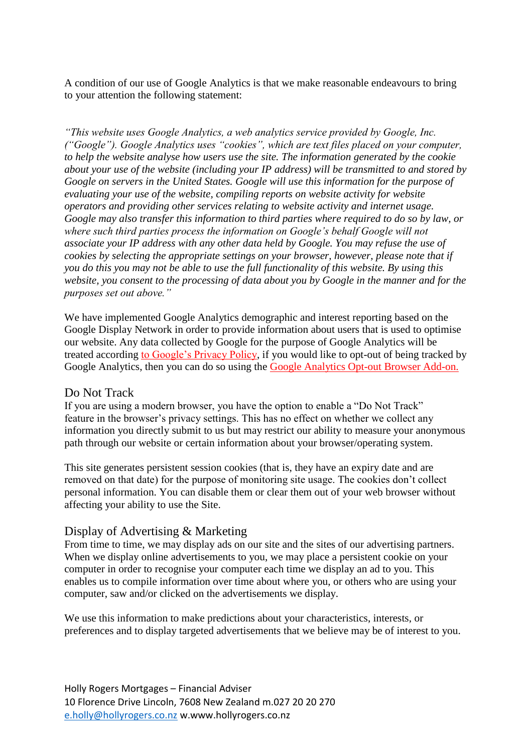A condition of our use of Google Analytics is that we make reasonable endeavours to bring to your attention the following statement:

*"This website uses Google Analytics, a web analytics service provided by Google, Inc. ("Google"). Google Analytics uses "cookies", which are text files placed on your computer, to help the website analyse how users use the site. The information generated by the cookie about your use of the website (including your IP address) will be transmitted to and stored by Google on servers in the United States. Google will use this information for the purpose of evaluating your use of the website, compiling reports on website activity for website operators and providing other services relating to website activity and internet usage. Google may also transfer this information to third parties where required to do so by law, or where such third parties process the information on Google's behalf Google will not associate your IP address with any other data held by Google. You may refuse the use of cookies by selecting the appropriate settings on your browser, however, please note that if you do this you may not be able to use the full functionality of this website. By using this website, you consent to the processing of data about you by Google in the manner and for the purposes set out above."* 

We have implemented Google Analytics demographic and interest reporting based on the Google Display Network in order to provide information about users that is used to optimise our website. Any data collected by Google for the purpose of Google Analytics will be treated according [to Google's Privacy Policy,](https://policies.google.com/privacy?hl=en-US) if you would like to opt-out of being tracked by Google Analytics, then you can do so using the **Google Analytics Opt-out Browser Add-on.** 

## Do Not Track

If you are using a modern browser, you have the option to enable a "Do Not Track" feature in the browser's privacy settings. This has no effect on whether we collect any information you directly submit to us but may restrict our ability to measure your anonymous path through our website or certain information about your browser/operating system.

This site generates persistent session cookies (that is, they have an expiry date and are removed on that date) for the purpose of monitoring site usage. The cookies don't collect personal information. You can disable them or clear them out of your web browser without affecting your ability to use the Site.

#### Display of Advertising & Marketing

From time to time, we may display ads on our site and the sites of our advertising partners. When we display online advertisements to you, we may place a persistent cookie on your computer in order to recognise your computer each time we display an ad to you. This enables us to compile information over time about where you, or others who are using your computer, saw and/or clicked on the advertisements we display.

We use this information to make predictions about your characteristics, interests, or preferences and to display targeted advertisements that we believe may be of interest to you.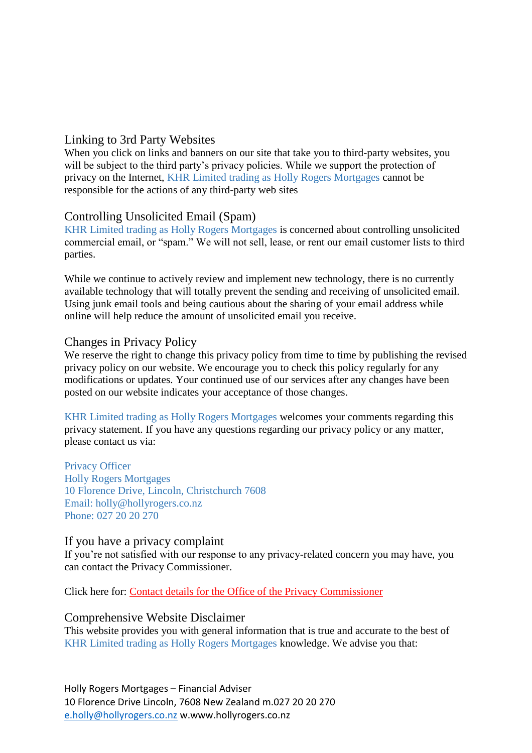## Linking to 3rd Party Websites

When you click on links and banners on our site that take you to third-party websites, you will be subject to the third party's privacy policies. While we support the protection of privacy on the Internet, KHR Limited trading as Holly Rogers Mortgages cannot be responsible for the actions of any third-party web sites

## Controlling Unsolicited Email (Spam)

KHR Limited trading as Holly Rogers Mortgages is concerned about controlling unsolicited commercial email, or "spam." We will not sell, lease, or rent our email customer lists to third parties.

While we continue to actively review and implement new technology, there is no currently available technology that will totally prevent the sending and receiving of unsolicited email. Using junk email tools and being cautious about the sharing of your email address while online will help reduce the amount of unsolicited email you receive.

## Changes in Privacy Policy

We reserve the right to change this privacy policy from time to time by publishing the revised privacy policy on our website. We encourage you to check this policy regularly for any modifications or updates. Your continued use of our services after any changes have been posted on our website indicates your acceptance of those changes.

KHR Limited trading as Holly Rogers Mortgages welcomes your comments regarding this privacy statement. If you have any questions regarding our privacy policy or any matter, please contact us via:

Privacy Officer Holly Rogers Mortgages 10 Florence Drive, Lincoln, Christchurch 7608 Email: holly@hollyrogers.co.nz Phone: 027 20 20 270

## If you have a privacy complaint

If you're not satisfied with our response to any privacy-related concern you may have, you can contact the Privacy Commissioner.

Click here for: [Contact details for the Office of the Privacy Commissioner](https://www.privacy.org.nz/about-us/contact/)

## Comprehensive Website Disclaimer

This website provides you with general information that is true and accurate to the best of KHR Limited trading as Holly Rogers Mortgages knowledge. We advise you that: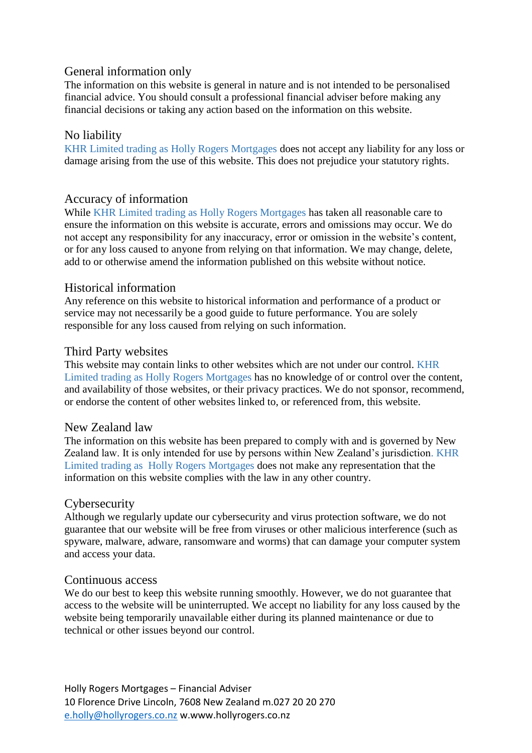## General information only

The information on this website is general in nature and is not intended to be personalised financial advice. You should consult a professional financial adviser before making any financial decisions or taking any action based on the information on this website.

## No liability

KHR Limited trading as Holly Rogers Mortgages does not accept any liability for any loss or damage arising from the use of this website. This does not prejudice your statutory rights.

## Accuracy of information

While KHR Limited trading as Holly Rogers Mortgages has taken all reasonable care to ensure the information on this website is accurate, errors and omissions may occur. We do not accept any responsibility for any inaccuracy, error or omission in the website's content, or for any loss caused to anyone from relying on that information. We may change, delete, add to or otherwise amend the information published on this website without notice.

## Historical information

Any reference on this website to historical information and performance of a product or service may not necessarily be a good guide to future performance. You are solely responsible for any loss caused from relying on such information.

#### Third Party websites

This website may contain links to other websites which are not under our control. KHR Limited trading as Holly Rogers Mortgages has no knowledge of or control over the content, and availability of those websites, or their privacy practices. We do not sponsor, recommend, or endorse the content of other websites linked to, or referenced from, this website.

## New Zealand law

The information on this website has been prepared to comply with and is governed by New Zealand law. It is only intended for use by persons within New Zealand's jurisdiction. KHR Limited trading as Holly Rogers Mortgages does not make any representation that the information on this website complies with the law in any other country.

## **Cybersecurity**

Although we regularly update our cybersecurity and virus protection software, we do not guarantee that our website will be free from viruses or other malicious interference (such as spyware, malware, adware, ransomware and worms) that can damage your computer system and access your data.

#### Continuous access

We do our best to keep this website running smoothly. However, we do not guarantee that access to the website will be uninterrupted. We accept no liability for any loss caused by the website being temporarily unavailable either during its planned maintenance or due to technical or other issues beyond our control.